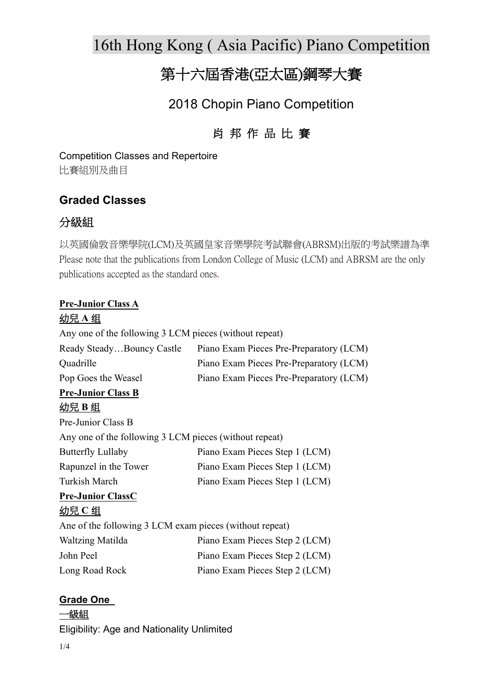16th Hong Kong ( Asia Pacific) Piano Competition

# 第十六屆香港(亞太區)鋼琴大賽

# 2018 Chopin Piano Competition

# 肖 邦 作 品 比 賽

Competition Classes and Repertoire 比賽組別及曲目

## **Graded Classes**

### 分級組

以英國倫敦音樂學院(LCM)及英國皇家音樂學院考試聯會(ABRSM)出版的考試樂譜為準 Please note that the publications from London College of Music (LCM) and ABRSM are the only publications accepted as the standard ones.

# **Pre-Junior Class A**

#### 幼兒 **A** 组

Any one of the following 3 LCM pieces (without repeat)

| Ready SteadyBouncy Castle | Piano Exam Pieces Pre-Preparatory (LCM) |
|---------------------------|-----------------------------------------|
| Quadrille                 | Piano Exam Pieces Pre-Preparatory (LCM) |
| Pop Goes the Weasel       | Piano Exam Pieces Pre-Preparatory (LCM) |

#### **Pre-Junior Class B** 幼兒 **B** 组

| Pre-Junior Class B                                     |                                |  |  |  |
|--------------------------------------------------------|--------------------------------|--|--|--|
| Any one of the following 3 LCM pieces (without repeat) |                                |  |  |  |
| <b>Butterfly Lullaby</b>                               | Piano Exam Pieces Step 1 (LCM) |  |  |  |
| Rapunzel in the Tower                                  | Piano Exam Pieces Step 1 (LCM) |  |  |  |
| Turkish March                                          | Piano Exam Pieces Step 1 (LCM) |  |  |  |
|                                                        |                                |  |  |  |

#### **Pre-Junior ClassC** 幼兒 **C** 组

| Ane of the following 3 LCM exam pieces (without repeat) |                                |  |
|---------------------------------------------------------|--------------------------------|--|
| Waltzing Matilda                                        | Piano Exam Pieces Step 2 (LCM) |  |
| John Peel                                               | Piano Exam Pieces Step 2 (LCM) |  |
| Long Road Rock                                          | Piano Exam Pieces Step 2 (LCM) |  |

#### **Grade One**

一級組

Eligibility: Age and Nationality Unlimited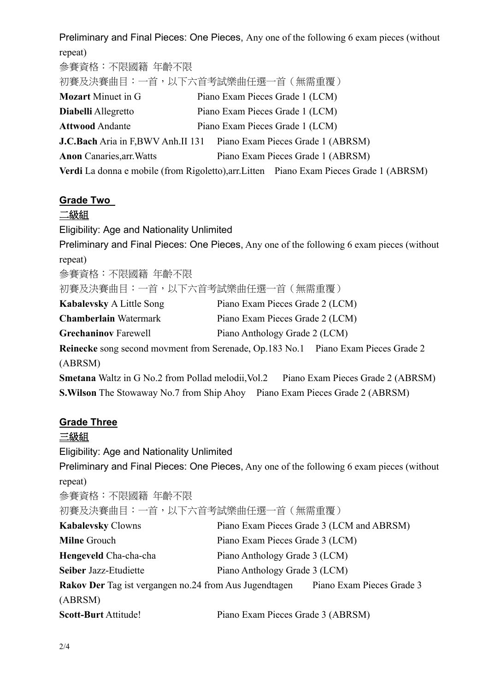Preliminary and Final Pieces: One Pieces, Any one of the following 6 exam pieces (without repeat) 參賽資格:不限國籍 年齡不限 初賽及決賽曲目:一首,以下六首考試樂曲任選一首(無需重覆) **Mozart** Minuet in G Piano Exam Pieces Grade 1 (LCM) **Diabelli** Allegretto Piano Exam Pieces Grade 1 (LCM) Attwood Andante Piano Exam Pieces Grade 1 (LCM) **J.C.Bach** Aria in F.BWV Anh.II 131 Piano Exam Pieces Grade 1 (ABRSM) **Anon** Canaries,arr.Watts Piano Exam Pieces Grade 1 (ABRSM) **Verdi** La donna e mobile (from Rigoletto),arr.Litten Piano Exam Pieces Grade 1 (ABRSM)

#### **Grade Two**

#### 二級組

Eligibility: Age and Nationality Unlimited Preliminary and Final Pieces: One Pieces, Any one of the following 6 exam pieces (without repeat) 參賽資格:不限國籍 年齡不限 初賽及決賽曲目:一首,以下六首考試樂曲任選一首(無需重覆) **Kabalevsky** A Little Song Piano Exam Pieces Grade 2 (LCM) **Chamberlain** Watermark Piano Exam Pieces Grade 2 (LCM) **Grechaninov** Farewell Piano Anthology Grade 2 (LCM) **Reinecke** song second movment from Serenade, Op.183 No.1 Piano Exam Pieces Grade 2 (ABRSM) **Smetana** Waltz in G No.2 from Pollad melodii, Vol.2 Piano Exam Pieces Grade 2 (ABRSM) **S.Wilson** The Stowaway No.7 from Ship Ahoy Piano Exam Pieces Grade 2 (ABRSM)

#### **Grade Three**

#### 三級組

Eligibility: Age and Nationality Unlimited

Preliminary and Final Pieces: One Pieces, Any one of the following 6 exam pieces (without repeat)

參賽資格:不限國籍 年齡不限

初賽及決賽曲目:一首,以下六首考試樂曲任選一首(無需重覆)

| <b>Kabalevsky Clowns</b>                                      |                                   | Piano Exam Pieces Grade 3 (LCM and ABRSM) |
|---------------------------------------------------------------|-----------------------------------|-------------------------------------------|
| <b>Milne Grouch</b>                                           | Piano Exam Pieces Grade 3 (LCM)   |                                           |
| Hengeveld Cha-cha-cha                                         | Piano Anthology Grade 3 (LCM)     |                                           |
| Seiber Jazz-Etudiette                                         | Piano Anthology Grade 3 (LCM)     |                                           |
| <b>Rakov Der</b> Tag ist vergangen no.24 from Aus Jugendtagen |                                   | Piano Exam Pieces Grade 3                 |
| (ABRSM)                                                       |                                   |                                           |
| <b>Scott-Burt Attitude!</b>                                   | Piano Exam Pieces Grade 3 (ABRSM) |                                           |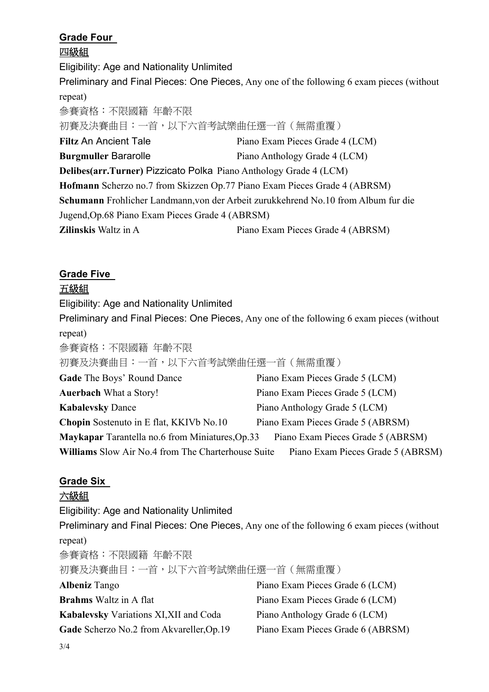# **Grade Four**

四級組

Eligibility: Age and Nationality Unlimited

Preliminary and Final Pieces: One Pieces, Any one of the following 6 exam pieces (without repeat)

參賽資格:不限國籍 年齡不限 初賽及決賽曲目:一首,以下六首考試樂曲任選一首(無需重覆) **Filtz** An Ancient Tale Piano Exam Pieces Grade 4 (LCM) **Burgmuller Bararolle** Piano Anthology Grade 4 (LCM) **Delibes(arr.Turner)** Pizzicato Polka Piano Anthology Grade 4 (LCM) **Hofmann** Scherzo no.7 from Skizzen Op.77 Piano Exam Pieces Grade 4 (ABRSM) **Schumann** Frohlicher Landmann,von der Arbeit zurukkehrend No.10 from Album fur die Jugend,Op.68 Piano Exam Pieces Grade 4 (ABRSM) **Zilinskis** Waltz in A Piano Exam Pieces Grade 4 (ABRSM)

# **Grade Five**

### 五級組

Eligibility: Age and Nationality Unlimited

Preliminary and Final Pieces: One Pieces, Any one of the following 6 exam pieces (without repeat)

參賽資格:不限國籍 年齡不限

初賽及決賽曲目:一首,以下六首考試樂曲任選一首(無需重覆)

| Gade The Boys' Round Dance                                | Piano Exam Pieces Grade 5 (LCM)   |  |
|-----------------------------------------------------------|-----------------------------------|--|
| <b>Auerbach What a Story!</b>                             | Piano Exam Pieces Grade 5 (LCM)   |  |
| <b>Kabalevsky Dance</b>                                   | Piano Anthology Grade 5 (LCM)     |  |
| <b>Chopin</b> Sostenuto in E flat, KKIVb No.10            | Piano Exam Pieces Grade 5 (ABRSM) |  |
| Maykapar Tarantella no.6 from Miniatures, Op.33           | Piano Exam Pieces Grade 5 (ABRSM) |  |
| <b>Williams</b> Slow Air No.4 from The Charterhouse Suite | Piano Exam Pieces Grade 5 (ABRSM) |  |

## **Grade Six**

## 六級組

Eligibility: Age and Nationality Unlimited Preliminary and Final Pieces: One Pieces, Any one of the following 6 exam pieces (without repeat) 參賽資格:不限國籍 年齡不限 初賽及決賽曲目:一首,以下六首考試樂曲任選一首(無需重覆) **Albeniz** Tango Piano Exam Pieces Grade 6 (LCM) **Brahms** Waltz in A flat Piano Exam Pieces Grade 6 (LCM) **Kabalevsky** Variations XI,XII and Coda Piano Anthology Grade 6 (LCM) Gade Scherzo No.2 from Akvareller, Op.19 Piano Exam Pieces Grade 6 (ABRSM)